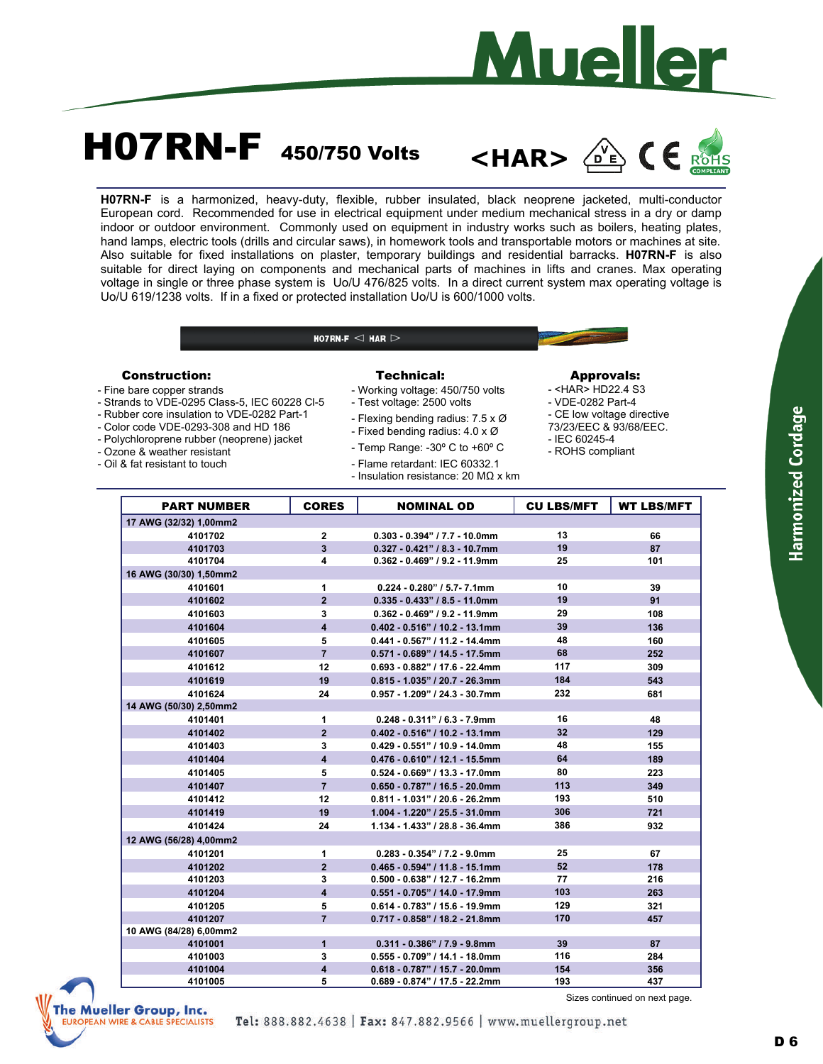

# **H07RN-F** 450/750 Volts

**<HAR>** 



**H07RN-F** is a harmonized, heavy-duty, flexible, rubber insulated, black neoprene jacketed, multi-conductor European cord. Recommended for use in electrical equipment under medium mechanical stress in a dry or damp indoor or outdoor environment. Commonly used on equipment in industry works such as boilers, heating plates, hand lamps, electric tools (drills and circular saws), in homework tools and transportable motors or machines at site. Also suitable for fixed installations on plaster, temporary buildings and residential barracks. **H07RN-F** is also suitable for direct laying on components and mechanical parts of machines in lifts and cranes. Max operating voltage in single or three phase system is Uo/U 476/825 volts. In a direct current system max operating voltage is Uo/U 619/1238 volts. If in a fixed or protected installation Uo/U is 600/1000 volts.

HO7RN-F  $\lhd$  HAR  $\lhd$ 

### Construction:

- Fine bare copper strands
- Strands to VDE-0295 Class-5, IEC 60228 Cl-5
- Rubber core insulation to VDE-0282 Part-1
- Color code VDE-0293-308 and HD 186
- Polychloroprene rubber (neoprene) jacket
- Ozone & weather resistant
- Oil & fat resistant to touch

### Technical:

- Working voltage: 450/750 volts

- Test voltage: 2500 volts
- Flexing bending radius: 7.5 x Ø
- Fixed bending radius: 4.0 x Ø
- Temp Range: -30º C to +60º C
- 
- Flame retardant: IEC 60332.1 - Insulation resistance: 20 MΩ x km
- 

#### Approvals:

- <HAR> HD22.4 S3
- VDE-0282 Part-4
- CE low voltage directive
- 73/23/EEC & 93/68/EEC. - IEC 60245-4
- ROHS compliant

| <b>PART NUMBER</b>     | <b>CORES</b>            | <b>NOMINAL OD</b>                 | <b>CU LBS/MFT</b> | <b>WT LBS/MFT</b> |
|------------------------|-------------------------|-----------------------------------|-------------------|-------------------|
| 17 AWG (32/32) 1,00mm2 |                         |                                   |                   |                   |
| 4101702                | $\mathbf{2}$            | $0.303 - 0.394" / 7.7 - 10.0$ mm  | 13                | 66                |
| 4101703                | 3                       | $0.327 - 0.421"$ / 8.3 - 10.7mm   | 19                | 87                |
| 4101704                | 4                       | $0.362 - 0.469"$ / 9.2 - 11.9mm   | 25                | 101               |
| 16 AWG (30/30) 1,50mm2 |                         |                                   |                   |                   |
| 4101601                | 1                       | $0.224 - 0.280"$ / 5.7-7.1mm      | 10                | 39                |
| 4101602                | $\overline{2}$          | $0.335 - 0.433"$ / 8.5 - 11.0mm   | 19                | 91                |
| 4101603                | 3                       | $0.362 - 0.469"$ / 9.2 - 11.9mm   | 29                | 108               |
| 4101604                | $\overline{\mathbf{4}}$ | $0.402 - 0.516"$ / 10.2 - 13.1mm  | 39                | 136               |
| 4101605                | 5                       | $0.441 - 0.567"$ / 11.2 - 14.4mm  | 48                | 160               |
| 4101607                | $\overline{7}$          | $0.571 - 0.689" / 14.5 - 17.5$ mm | 68                | 252               |
| 4101612                | 12                      | $0.693 - 0.882"$ / 17.6 - 22.4mm  | 117               | 309               |
| 4101619                | 19                      | $0.815 - 1.035" / 20.7 - 26.3mm$  | 184               | 543               |
| 4101624                | 24                      | $0.957 - 1.209" / 24.3 - 30.7$ mm | 232               | 681               |
| 14 AWG (50/30) 2,50mm2 |                         |                                   |                   |                   |
| 4101401                | 1                       | $0.248 - 0.311"$ / 6.3 - 7.9mm    | 16                | 48                |
| 4101402                | $\overline{2}$          | $0.402 - 0.516"$ / 10.2 - 13.1mm  | 32                | 129               |
| 4101403                | 3                       | $0.429 - 0.551"$ / 10.9 - 14.0mm  | 48                | 155               |
| 4101404                | 4                       | $0.476 - 0.610"$ / 12.1 - 15.5mm  | 64                | 189               |
| 4101405                | 5                       | $0.524 - 0.669" / 13.3 - 17.0$ mm | 80                | 223               |
| 4101407                | $\overline{7}$          | $0.650 - 0.787"$ / 16.5 - 20.0mm  | 113               | 349               |
| 4101412                | 12                      | $0.811 - 1.031"$ / 20.6 - 26.2mm  | 193               | 510               |
| 4101419                | 19                      | 1.004 - 1.220" / 25.5 - 31.0mm    | 306               | 721               |
| 4101424                | 24                      | 1.134 - 1.433" / 28.8 - 36.4mm    | 386               | 932               |
| 12 AWG (56/28) 4.00mm2 |                         |                                   |                   |                   |
| 4101201                | 1                       | $0.283 - 0.354"$ / 7.2 - 9.0mm    | 25                | 67                |
| 4101202                | $\overline{2}$          | $0.465 - 0.594" / 11.8 - 15.1$ mm | 52                | 178               |
| 4101203                | 3                       | $0.500 - 0.638"$ / 12.7 - 16.2mm  | 77                | 216               |
| 4101204                | $\overline{\mathbf{A}}$ | $0.551 - 0.705" / 14.0 - 17.9$ mm | 103               | 263               |
| 4101205                | 5                       | $0.614 - 0.783"$ / 15.6 - 19.9mm  | 129               | 321               |
| 4101207                | $\overline{7}$          | $0.717 - 0.858"$ / 18.2 - 21.8mm  | 170               | 457               |
| 10 AWG (84/28) 6,00mm2 |                         |                                   |                   |                   |
| 4101001                | $\mathbf{1}$            | $0.311 - 0.386"$ / $7.9 - 9.8$ mm | 39                | 87                |
| 4101003                | 3                       | $0.555 - 0.709" / 14.1 - 18.0$ mm | 116               | 284               |
| 4101004                | $\overline{\mathbf{4}}$ | $0.618 - 0.787"$ / 15.7 - 20.0mm  | 154               | 356               |



Sizes continued on next page.